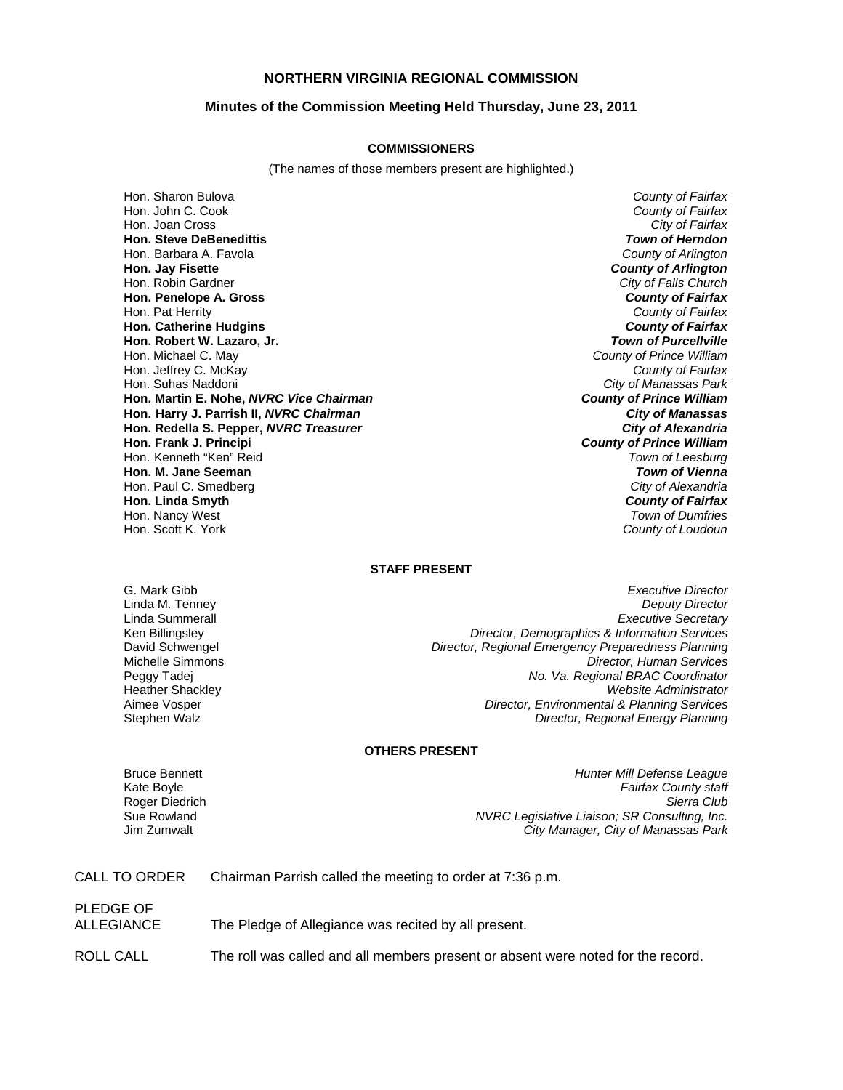# **NORTHERN VIRGINIA REGIONAL COMMISSION**

### **Minutes of the Commission Meeting Held Thursday, June 23, 2011**

#### **COMMISSIONERS**

(The names of those members present are highlighted.)

Hon. Sharon Bulova *County of Fairfax* Hon. John C. Cook *County of Fairfax* Hon. Joan Cross *City of Fairfax* **Hon. Steve DeBenedittis** *Town of Herndon* Hon. Barbara A. Favola *County of Arlington* **Hon. Jay Fisette** *County of Arlington* Hon. Robin Gardner *City of Falls Church* **Hon. Penelope A. Gross** *County of Fairfax* Hon. Pat Herrity *County of Fairfax* **Hon. Catherine Hudgins** *County of Fairfax* **Hon. Robert W. Lazaro, Jr.** *Town of Purcellville* Hon. Michael C. May *County of Prince William* **Hon. Jeffrey C. McKay** Hon. Suhas Naddoni *City of Manassas Park* **Hon. Martin E. Nohe,** *NVRC Vice Chairman County of Prince William* **Hon. Harry J. Parrish II,** *NVRC Chairman City of Manassas* **Hon. Redella S. Pepper,** *NVRC Treasurer City of Alexandria* **Hon. Frank J. Principi** *County of Prince William* Hon. Kenneth "Ken" Reid *Town of Leesburg* **Hon. M. Jane Seeman** *Town of Vienna* Hon. Paul C. Smedberg *City of Alexandria* **Hon. Linda Smyth** *County of Fairfax* Hon. Nancy West *Town of Dumfries*

**County of Loudoun** 

## **STAFF PRESENT**

G. Mark Gibb *Executive Director* **Deputy Director** Linda Summerall *Executive Secretary* Ken Billingsley *Director, Demographics & Information Services* David Schwengel *Director, Regional Emergency Preparedness Planning* Michelle Simmons *Director, Human Services* Peggy Tadej *No. Va. Regional BRAC Coordinator* Heather Shackley *Website Administrator* **Director, Environmental & Planning Services** Stephen Walz *Director, Regional Energy Planning*

# **OTHERS PRESENT**

**Roger Diedrich Sue Rowland** 

PLEDGE OF

Bruce Bennett *Hunter Mill Defense League* Kate Boyle *Fairfax County staff* **NVRC Legislative Liaison; SR Consulting, Inc.** Jim Zumwalt *City Manager, City of Manassas Park*

CALL TO ORDER Chairman Parrish called the meeting to order at 7:36 p.m.

ALLEGIANCE The Pledge of Allegiance was recited by all present.

ROLL CALL The roll was called and all members present or absent were noted for the record.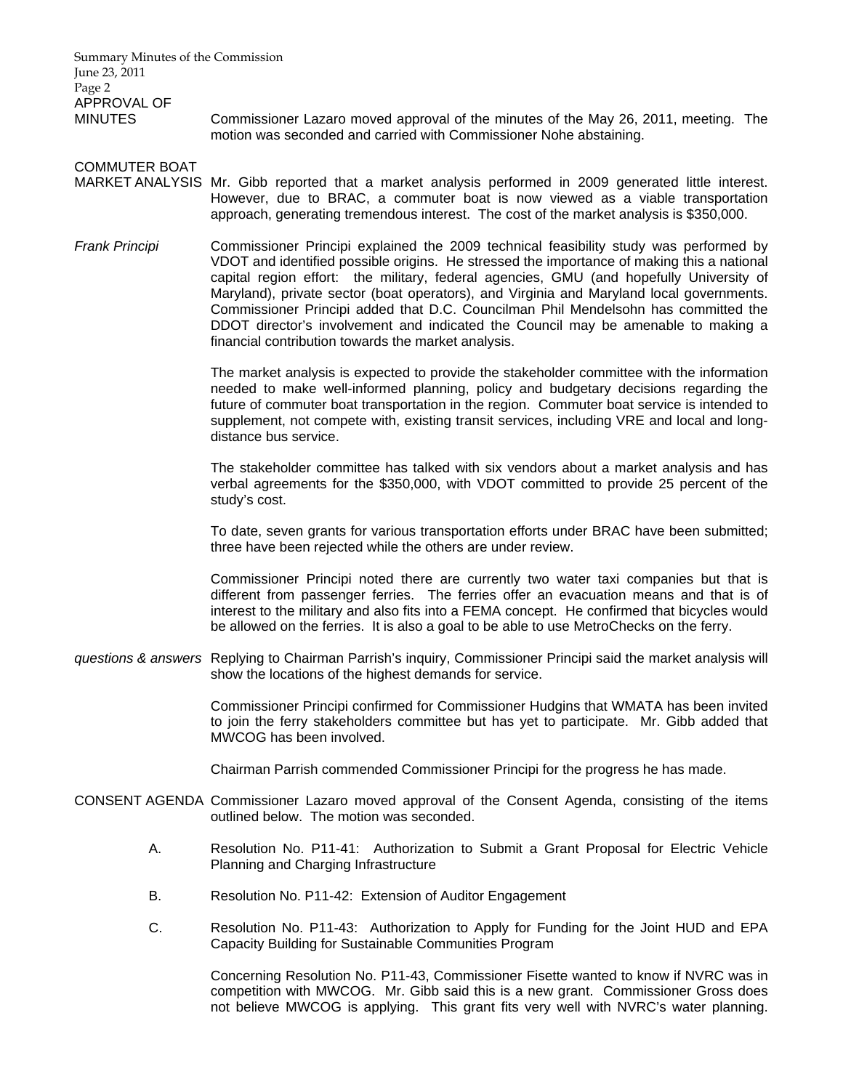Summary Minutes of the Commission June 23, 2011 Page 2 APPROVAL OF MINUTES Commissioner Lazaro moved approval of the minutes of the May 26, 2011, meeting. The motion was seconded and carried with Commissioner Nohe abstaining. COMMUTER BOAT MARKET ANALYSIS Mr. Gibb reported that a market analysis performed in 2009 generated little interest. However, due to BRAC, a commuter boat is now viewed as a viable transportation approach, generating tremendous interest. The cost of the market analysis is \$350,000. *Frank Principi* Commissioner Principi explained the 2009 technical feasibility study was performed by VDOT and identified possible origins. He stressed the importance of making this a national capital region effort: the military, federal agencies, GMU (and hopefully University of Maryland), private sector (boat operators), and Virginia and Maryland local governments. Commissioner Principi added that D.C. Councilman Phil Mendelsohn has committed the DDOT director's involvement and indicated the Council may be amenable to making a financial contribution towards the market analysis. The market analysis is expected to provide the stakeholder committee with the information needed to make well-informed planning, policy and budgetary decisions regarding the future of commuter boat transportation in the region. Commuter boat service is intended to supplement, not compete with, existing transit services, including VRE and local and longdistance bus service. The stakeholder committee has talked with six vendors about a market analysis and has verbal agreements for the \$350,000, with VDOT committed to provide 25 percent of the study's cost. To date, seven grants for various transportation efforts under BRAC have been submitted; three have been rejected while the others are under review. Commissioner Principi noted there are currently two water taxi companies but that is different from passenger ferries. The ferries offer an evacuation means and that is of interest to the military and also fits into a FEMA concept. He confirmed that bicycles would be allowed on the ferries. It is also a goal to be able to use MetroChecks on the ferry. *questions & answers* Replying to Chairman Parrish's inquiry, Commissioner Principi said the market analysis will show the locations of the highest demands for service. Commissioner Principi confirmed for Commissioner Hudgins that WMATA has been invited to join the ferry stakeholders committee but has yet to participate. Mr. Gibb added that MWCOG has been involved. Chairman Parrish commended Commissioner Principi for the progress he has made. CONSENT AGENDA Commissioner Lazaro moved approval of the Consent Agenda, consisting of the items outlined below. The motion was seconded. A. Resolution No. P11-41: Authorization to Submit a Grant Proposal for Electric Vehicle Planning and Charging Infrastructure B. Resolution No. P11-42: Extension of Auditor Engagement

 C. Resolution No. P11-43: Authorization to Apply for Funding for the Joint HUD and EPA Capacity Building for Sustainable Communities Program

> Concerning Resolution No. P11-43, Commissioner Fisette wanted to know if NVRC was in competition with MWCOG. Mr. Gibb said this is a new grant. Commissioner Gross does not believe MWCOG is applying. This grant fits very well with NVRC's water planning.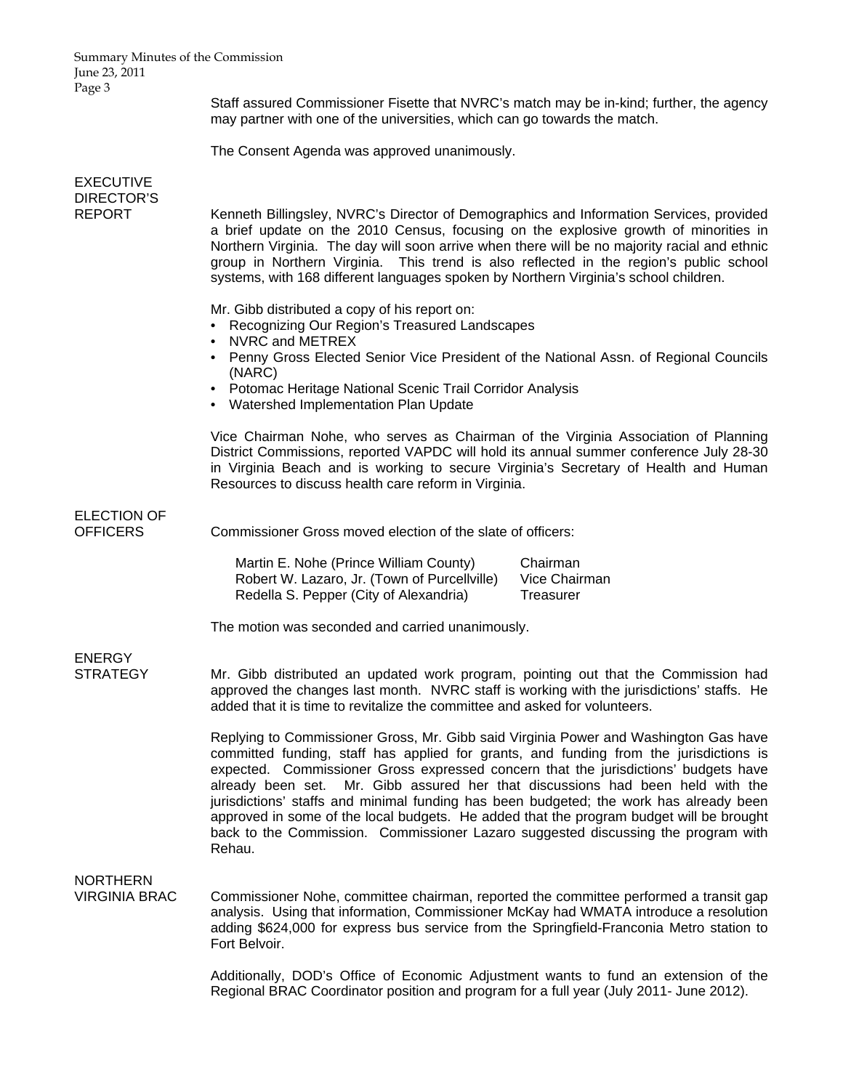Staff assured Commissioner Fisette that NVRC's match may be in-kind; further, the agency may partner with one of the universities, which can go towards the match.

The Consent Agenda was approved unanimously.

| <b>EXECUTIVE</b>                        |                                                                                                                                                                                                                                                                                                                                                                                                                                                                                                                                                                                                                                                |
|-----------------------------------------|------------------------------------------------------------------------------------------------------------------------------------------------------------------------------------------------------------------------------------------------------------------------------------------------------------------------------------------------------------------------------------------------------------------------------------------------------------------------------------------------------------------------------------------------------------------------------------------------------------------------------------------------|
| <b>DIRECTOR'S</b><br><b>REPORT</b>      | Kenneth Billingsley, NVRC's Director of Demographics and Information Services, provided<br>a brief update on the 2010 Census, focusing on the explosive growth of minorities in<br>Northern Virginia. The day will soon arrive when there will be no majority racial and ethnic<br>group in Northern Virginia. This trend is also reflected in the region's public school<br>systems, with 168 different languages spoken by Northern Virginia's school children.                                                                                                                                                                              |
|                                         | Mr. Gibb distributed a copy of his report on:<br>• Recognizing Our Region's Treasured Landscapes<br>NVRC and METREX<br>$\bullet$<br>• Penny Gross Elected Senior Vice President of the National Assn. of Regional Councils<br>(NARC)<br>• Potomac Heritage National Scenic Trail Corridor Analysis<br>• Watershed Implementation Plan Update                                                                                                                                                                                                                                                                                                   |
|                                         | Vice Chairman Nohe, who serves as Chairman of the Virginia Association of Planning<br>District Commissions, reported VAPDC will hold its annual summer conference July 28-30<br>in Virginia Beach and is working to secure Virginia's Secretary of Health and Human<br>Resources to discuss health care reform in Virginia.                                                                                                                                                                                                                                                                                                                    |
| <b>ELECTION OF</b><br><b>OFFICERS</b>   | Commissioner Gross moved election of the slate of officers:                                                                                                                                                                                                                                                                                                                                                                                                                                                                                                                                                                                    |
|                                         | Martin E. Nohe (Prince William County)<br>Chairman<br>Robert W. Lazaro, Jr. (Town of Purcellville)<br>Vice Chairman<br>Redella S. Pepper (City of Alexandria)<br>Treasurer                                                                                                                                                                                                                                                                                                                                                                                                                                                                     |
|                                         | The motion was seconded and carried unanimously.                                                                                                                                                                                                                                                                                                                                                                                                                                                                                                                                                                                               |
| <b>ENERGY</b><br><b>STRATEGY</b>        | Mr. Gibb distributed an updated work program, pointing out that the Commission had<br>approved the changes last month. NVRC staff is working with the jurisdictions' staffs. He<br>added that it is time to revitalize the committee and asked for volunteers.                                                                                                                                                                                                                                                                                                                                                                                 |
|                                         | Replying to Commissioner Gross, Mr. Gibb said Virginia Power and Washington Gas have<br>committed funding, staff has applied for grants, and funding from the jurisdictions is<br>expected. Commissioner Gross expressed concern that the jurisdictions' budgets have<br>already been set.<br>Mr. Gibb assured her that discussions had been held with the<br>jurisdictions' staffs and minimal funding has been budgeted; the work has already been<br>approved in some of the local budgets. He added that the program budget will be brought<br>back to the Commission. Commissioner Lazaro suggested discussing the program with<br>Rehau. |
| <b>NORTHERN</b><br><b>VIRGINIA BRAC</b> | Commissioner Nohe, committee chairman, reported the committee performed a transit gap<br>analysis. Using that information, Commissioner McKay had WMATA introduce a resolution<br>adding \$624,000 for express bus service from the Springfield-Franconia Metro station to<br>Fort Belvoir.                                                                                                                                                                                                                                                                                                                                                    |
|                                         | Additionally, DOD's Office of Economic Adjustment wants to fund an extension of the<br>Regional BRAC Coordinator position and program for a full year (July 2011- June 2012).                                                                                                                                                                                                                                                                                                                                                                                                                                                                  |